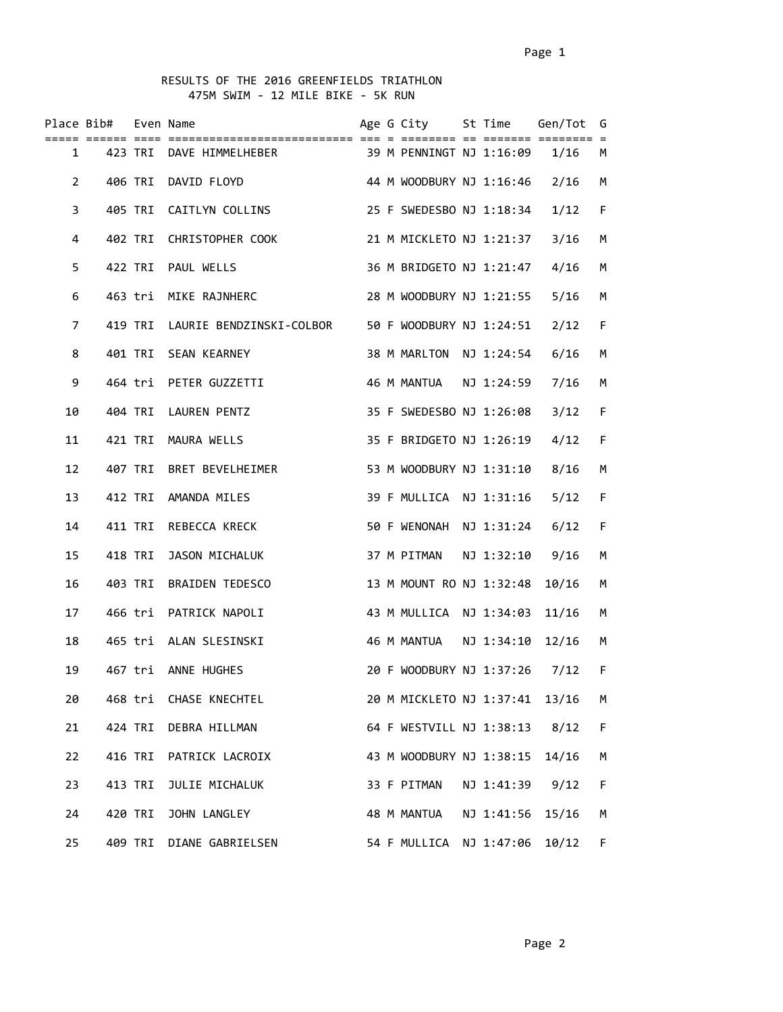## RESULTS OF THE 2016 GREENFIELDS TRIATHLON 475M SWIM - 12 MILE BIKE - 5K RUN

|                       | Place Bib# Even Name |         |                                                          |  | Age G City St Time Gen/Tot G  |            |       |      |
|-----------------------|----------------------|---------|----------------------------------------------------------|--|-------------------------------|------------|-------|------|
|                       |                      |         | 1 423 TRI DAVE HIMMELHEBER 39 M PENNINGT NJ 1:16:09 1/16 |  |                               |            |       | M    |
| $\mathbf{2}^{\prime}$ |                      |         | 406 TRI DAVID FLOYD                                      |  | 44 M WOODBURY NJ 1:16:46 2/16 |            |       | M    |
| 3                     |                      |         | 405 TRI CAITLYN COLLINS                                  |  | 25 F SWEDESBO NJ 1:18:34 1/12 |            |       | F.   |
| 4                     |                      |         | 402 TRI CHRISTOPHER COOK                                 |  | 21 M MICKLETO NJ 1:21:37 3/16 |            |       | M    |
| 5                     |                      |         | 422 TRI PAUL WELLS                                       |  | 36 M BRIDGETO NJ 1:21:47 4/16 |            |       | M    |
| 6                     |                      |         | 463 tri MIKE RAJNHERC                                    |  | 28 M WOODBURY NJ 1:21:55 5/16 |            |       | M    |
| 7                     |                      |         | 419 TRI LAURIE BENDZINSKI-COLBOR                         |  | 50 F WOODBURY NJ 1:24:51 2/12 |            |       | F    |
| 8                     |                      |         | 401 TRI SEAN KEARNEY                                     |  | 38 M MARLTON NJ 1:24:54 6/16  |            |       | M    |
| 9                     |                      |         | 464 tri PETER GUZZETTI                                   |  | 46 M MANTUA    NJ    1:24:59  |            | 7/16  | M    |
| 10                    |                      |         | 404 TRI LAUREN PENTZ                                     |  | 35 F SWEDESBO NJ 1:26:08      |            | 3/12  | F    |
| 11                    |                      |         | 421 TRI MAURA WELLS                                      |  | 35 F BRIDGETO NJ 1:26:19      |            | 4/12  | F    |
| 12                    |                      |         | 407 TRI BRET BEVELHEIMER                                 |  | 53 M WOODBURY NJ 1:31:10 8/16 |            |       | M    |
| 13                    |                      |         | 412 TRI AMANDA MILES                                     |  | 39 F MULLICA NJ 1:31:16       |            | 5/12  | F    |
| 14                    |                      |         | 411 TRI REBECCA KRECK                                    |  | 50 F WENONAH NJ 1:31:24 6/12  |            |       | F.   |
| 15                    |                      |         | 418 TRI JASON MICHALUK                                   |  | 37 M PITMAN NJ 1:32:10 9/16   |            |       | М    |
| 16                    |                      |         | 403 TRI BRAIDEN TEDESCO                                  |  | 13 M MOUNT RO NJ 1:32:48      |            | 10/16 | М    |
| 17                    |                      |         | 466 tri PATRICK NAPOLI                                   |  | 43 M MULLICA NJ 1:34:03       |            | 11/16 | М    |
| 18                    |                      |         | 465 tri ALAN SLESINSKI                                   |  |                               |            | 12/16 | M    |
| 19                    |                      |         | 467 tri ANNE HUGHES                                      |  | 20 F WOODBURY NJ 1:37:26 7/12 |            |       | $-F$ |
| 20                    |                      |         | 468 tri CHASE KNECHTEL                                   |  | 20 M MICKLETO NJ 1:37:41      |            | 13/16 | М    |
| 21                    |                      | 424 TRI | DEBRA HILLMAN                                            |  | 64 F WESTVILL NJ 1:38:13 8/12 |            |       | F    |
| 22                    |                      | 416 TRI | PATRICK LACROIX                                          |  | 43 M WOODBURY NJ 1:38:15      |            | 14/16 | М    |
| 23                    |                      | 413 TRI | JULIE MICHALUK                                           |  | 33 F PITMAN                   | NJ 1:41:39 | 9/12  | F    |
| 24                    |                      | 420 TRI | JOHN LANGLEY                                             |  | 48 M MANTUA                   | NJ 1:41:56 | 15/16 | M    |
| 25                    |                      |         | 409 TRI DIANE GABRIELSEN                                 |  | 54 F MULLICA NJ 1:47:06       |            | 10/12 | F.   |